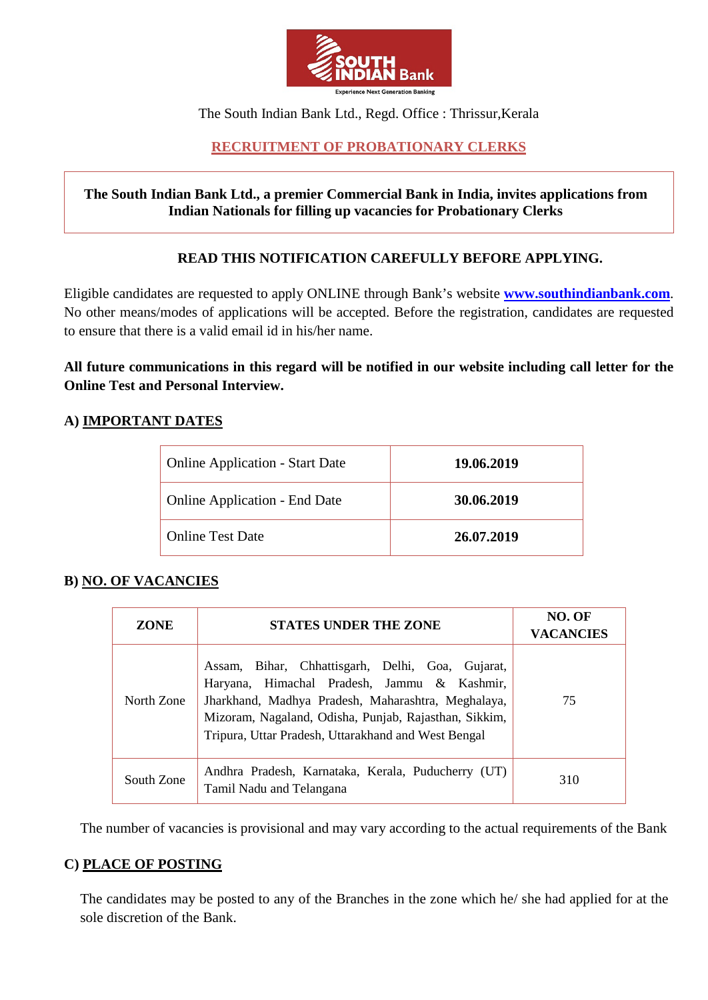

The South Indian Bank Ltd., Regd. Office : Thrissur,Kerala

# **RECRUITMENT OF PROBATIONARY CLERKS**

## **The South Indian Bank Ltd., a premier Commercial Bank in India, invites applications from Indian Nationals for filling up vacancies for Probationary Clerks**

## **READ THIS NOTIFICATION CAREFULLY BEFORE APPLYING.**

Eligible candidates are requested to apply ONLINE through Bank's website **[www.southindianbank.com](http://www.southindianbank.com/)**. No other means/modes of applications will be accepted. Before the registration, candidates are requested to ensure that there is a valid email id in his/her name.

**All future communications in this regard will be notified in our website including call letter for the Online Test and Personal Interview.** 

# **A) IMPORTANT DATES**

| <b>Online Application - Start Date</b> | 19.06.2019 |
|----------------------------------------|------------|
| <b>Online Application - End Date</b>   | 30.06.2019 |
| <b>Online Test Date</b>                | 26.07.2019 |

## **B) NO. OF VACANCIES**

| <b>ZONE</b> | <b>STATES UNDER THE ZONE</b>                                                                                                                                                                                                                                          | NO. OF<br><b>VACANCIES</b> |
|-------------|-----------------------------------------------------------------------------------------------------------------------------------------------------------------------------------------------------------------------------------------------------------------------|----------------------------|
| North Zone  | Assam, Bihar, Chhattisgarh, Delhi, Goa, Gujarat,<br>Haryana, Himachal Pradesh, Jammu & Kashmir,<br>Jharkhand, Madhya Pradesh, Maharashtra, Meghalaya,<br>Mizoram, Nagaland, Odisha, Punjab, Rajasthan, Sikkim,<br>Tripura, Uttar Pradesh, Uttarakhand and West Bengal | 75                         |
| South Zone  | Andhra Pradesh, Karnataka, Kerala, Puducherry (UT)<br>Tamil Nadu and Telangana                                                                                                                                                                                        | 310                        |

The number of vacancies is provisional and may vary according to the actual requirements of the Bank

## **C) PLACE OF POSTING**

The candidates may be posted to any of the Branches in the zone which he/ she had applied for at the sole discretion of the Bank.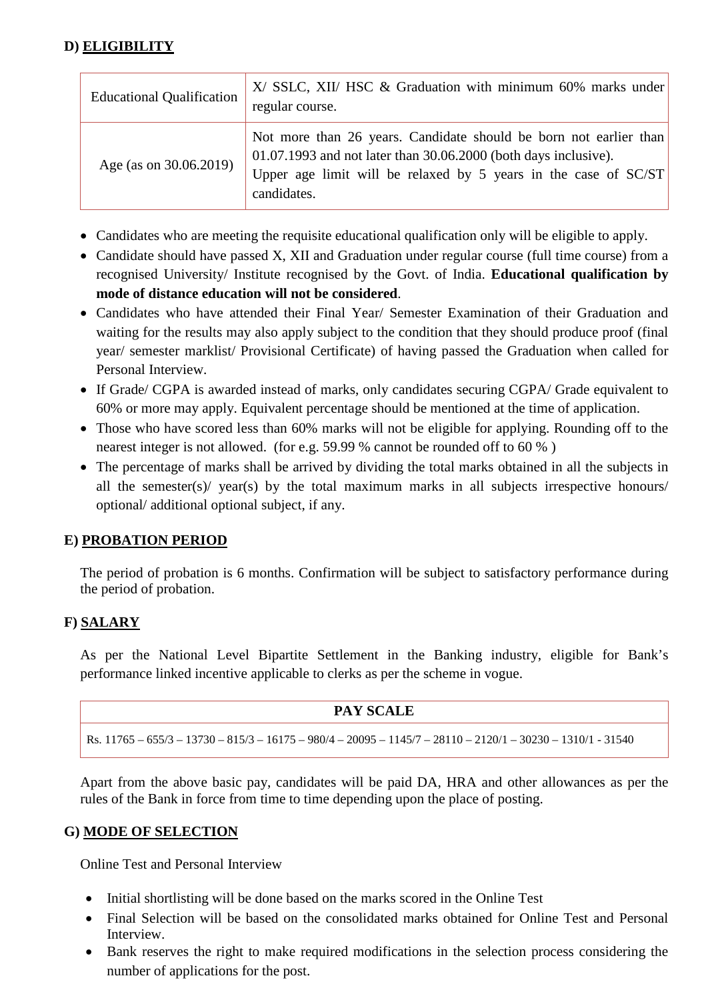# **D) ELIGIBILITY**

| <b>Educational Qualification</b> | $X/$ SSLC, XII/ HSC & Graduation with minimum 60% marks under<br>regular course.                                                                                                                                             |
|----------------------------------|------------------------------------------------------------------------------------------------------------------------------------------------------------------------------------------------------------------------------|
| Age (as on 30.06.2019)           | Not more than 26 years. Candidate should be born not earlier than<br>$01.07.1993$ and not later than $30.06.2000$ (both days inclusive).<br>Upper age limit will be relaxed by 5 years in the case of $SC/ST$<br>candidates. |

- Candidates who are meeting the requisite educational qualification only will be eligible to apply.
- Candidate should have passed X, XII and Graduation under regular course (full time course) from a recognised University/ Institute recognised by the Govt. of India. **Educational qualification by mode of distance education will not be considered**.
- Candidates who have attended their Final Year/ Semester Examination of their Graduation and waiting for the results may also apply subject to the condition that they should produce proof (final year/ semester marklist/ Provisional Certificate) of having passed the Graduation when called for Personal Interview.
- If Grade/ CGPA is awarded instead of marks, only candidates securing CGPA/ Grade equivalent to 60% or more may apply. Equivalent percentage should be mentioned at the time of application.
- Those who have scored less than 60% marks will not be eligible for applying. Rounding off to the nearest integer is not allowed. (for e.g. 59.99 % cannot be rounded off to 60 % )
- The percentage of marks shall be arrived by dividing the total marks obtained in all the subjects in all the semester(s)/ year(s) by the total maximum marks in all subjects irrespective honours/ optional/ additional optional subject, if any.

# **E) PROBATION PERIOD**

The period of probation is 6 months. Confirmation will be subject to satisfactory performance during the period of probation.

## **F) SALARY**

As per the National Level Bipartite Settlement in the Banking industry, eligible for Bank's performance linked incentive applicable to clerks as per the scheme in vogue.

| <b>PAY SCALE</b>                                                                                             |  |
|--------------------------------------------------------------------------------------------------------------|--|
| Rs. 11765 – 655/3 – 13730 – 815/3 – 16175 – 980/4 – 20095 – 1145/7 – 28110 – 2120/1 – 30230 – 1310/1 - 31540 |  |

Apart from the above basic pay, candidates will be paid DA, HRA and other allowances as per the rules of the Bank in force from time to time depending upon the place of posting.

## **G) MODE OF SELECTION**

Online Test and Personal Interview

- Initial shortlisting will be done based on the marks scored in the Online Test
- Final Selection will be based on the consolidated marks obtained for Online Test and Personal Interview.
- Bank reserves the right to make required modifications in the selection process considering the number of applications for the post.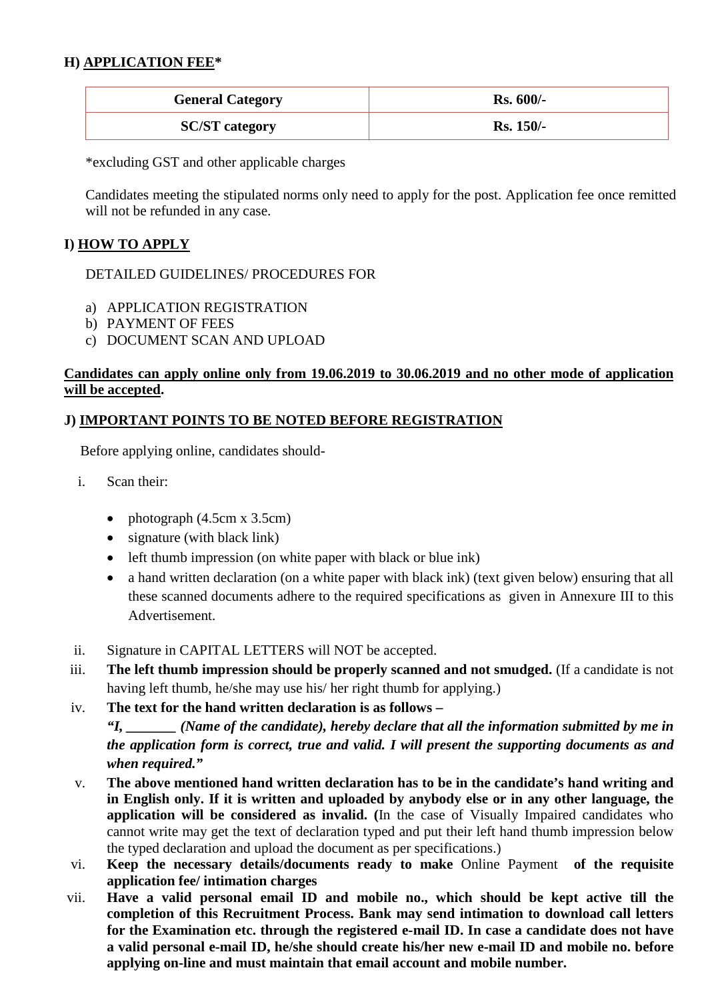# **H) APPLICATION FEE\***

| <b>General Category</b> | <b>Rs. 600/-</b> |
|-------------------------|------------------|
| <b>SC/ST</b> category   | <b>Rs. 150/-</b> |

\*excluding GST and other applicable charges

Candidates meeting the stipulated norms only need to apply for the post. Application fee once remitted will not be refunded in any case.

## **I) HOW TO APPLY**

DETAILED GUIDELINES/ PROCEDURES FOR

- a) APPLICATION REGISTRATION
- b) PAYMENT OF FEES
- c) DOCUMENT SCAN AND UPLOAD

## **Candidates can apply online only from 19.06.2019 to 30.06.2019 and no other mode of application will be accepted.**

# **J) IMPORTANT POINTS TO BE NOTED BEFORE REGISTRATION**

Before applying online, candidates should-

- i. Scan their:
	- photograph (4.5cm x 3.5cm)
	- signature (with black link)
	- left thumb impression (on white paper with black or blue ink)
	- a hand written declaration (on a white paper with black ink) (text given below) ensuring that all these scanned documents adhere to the required specifications as given in Annexure III to this Advertisement.
- ii. Signature in CAPITAL LETTERS will NOT be accepted.
- iii. **The left thumb impression should be properly scanned and not smudged.** (If a candidate is not having left thumb, he/she may use his/ her right thumb for applying.)
- iv. **The text for the hand written declaration is as follows –**

*"I, \_\_\_\_\_\_\_ (Name of the candidate), hereby declare that all the information submitted by me in the application form is correct, true and valid. I will present the supporting documents as and when required."* 

- v. **The above mentioned hand written declaration has to be in the candidate's hand writing and in English only. If it is written and uploaded by anybody else or in any other language, the application will be considered as invalid. (**In the case of Visually Impaired candidates who cannot write may get the text of declaration typed and put their left hand thumb impression below the typed declaration and upload the document as per specifications.)
- vi. **Keep the necessary details/documents ready to make** Online Payment **of the requisite application fee/ intimation charges**
- vii. **Have a valid personal email ID and mobile no., which should be kept active till the completion of this Recruitment Process. Bank may send intimation to download call letters for the Examination etc. through the registered e-mail ID. In case a candidate does not have a valid personal e-mail ID, he/she should create his/her new e-mail ID and mobile no. before applying on-line and must maintain that email account and mobile number.**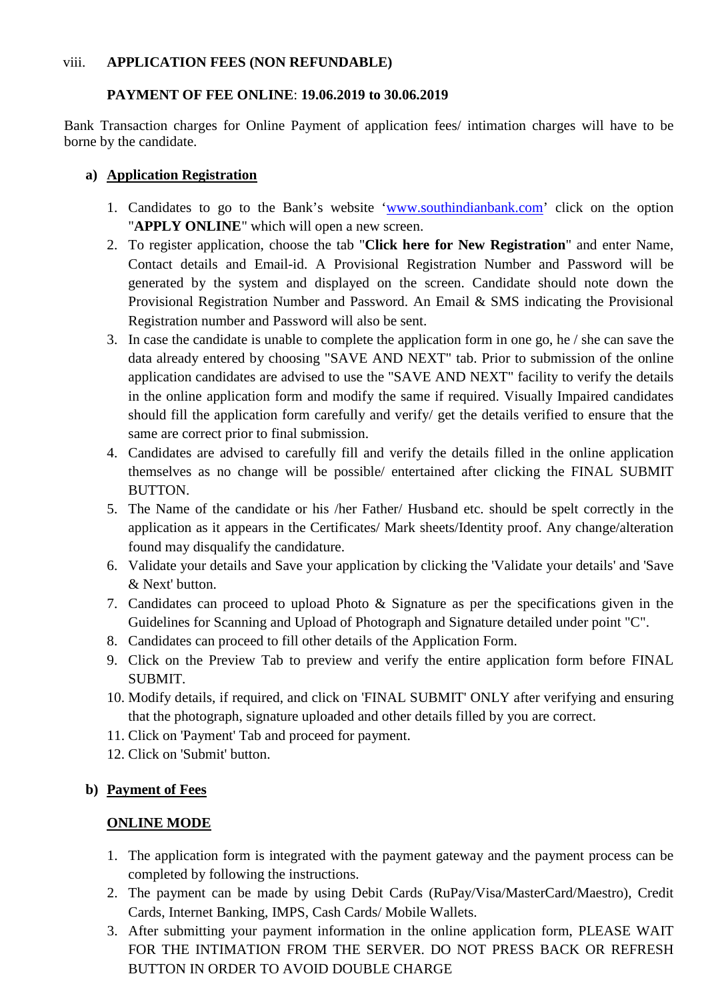#### viii. **APPLICATION FEES (NON REFUNDABLE)**

## **PAYMENT OF FEE ONLINE**: **19.06.2019 to 30.06.2019**

Bank Transaction charges for Online Payment of application fees/ intimation charges will have to be borne by the candidate.

## **a) Application Registration**

- 1. Candidates to go to the Bank's website ['www.southindianbank.com'](http://www.southindianbank.com/) click on the option "**APPLY ONLINE**" which will open a new screen.
- 2. To register application, choose the tab "**Click here for New Registration**" and enter Name, Contact details and Email-id. A Provisional Registration Number and Password will be generated by the system and displayed on the screen. Candidate should note down the Provisional Registration Number and Password. An Email & SMS indicating the Provisional Registration number and Password will also be sent.
- 3. In case the candidate is unable to complete the application form in one go, he / she can save the data already entered by choosing "SAVE AND NEXT" tab. Prior to submission of the online application candidates are advised to use the "SAVE AND NEXT" facility to verify the details in the online application form and modify the same if required. Visually Impaired candidates should fill the application form carefully and verify/ get the details verified to ensure that the same are correct prior to final submission.
- 4. Candidates are advised to carefully fill and verify the details filled in the online application themselves as no change will be possible/ entertained after clicking the FINAL SUBMIT BUTTON.
- 5. The Name of the candidate or his /her Father/ Husband etc. should be spelt correctly in the application as it appears in the Certificates/ Mark sheets/Identity proof. Any change/alteration found may disqualify the candidature.
- 6. Validate your details and Save your application by clicking the 'Validate your details' and 'Save & Next' button.
- 7. Candidates can proceed to upload Photo & Signature as per the specifications given in the Guidelines for Scanning and Upload of Photograph and Signature detailed under point "C".
- 8. Candidates can proceed to fill other details of the Application Form.
- 9. Click on the Preview Tab to preview and verify the entire application form before FINAL SUBMIT.
- 10. Modify details, if required, and click on 'FINAL SUBMIT' ONLY after verifying and ensuring that the photograph, signature uploaded and other details filled by you are correct.
- 11. Click on 'Payment' Tab and proceed for payment.
- 12. Click on 'Submit' button.

## **b) Payment of Fees**

## **ONLINE MODE**

- 1. The application form is integrated with the payment gateway and the payment process can be completed by following the instructions.
- 2. The payment can be made by using Debit Cards (RuPay/Visa/MasterCard/Maestro), Credit Cards, Internet Banking, IMPS, Cash Cards/ Mobile Wallets.
- 3. After submitting your payment information in the online application form, PLEASE WAIT FOR THE INTIMATION FROM THE SERVER. DO NOT PRESS BACK OR REFRESH BUTTON IN ORDER TO AVOID DOUBLE CHARGE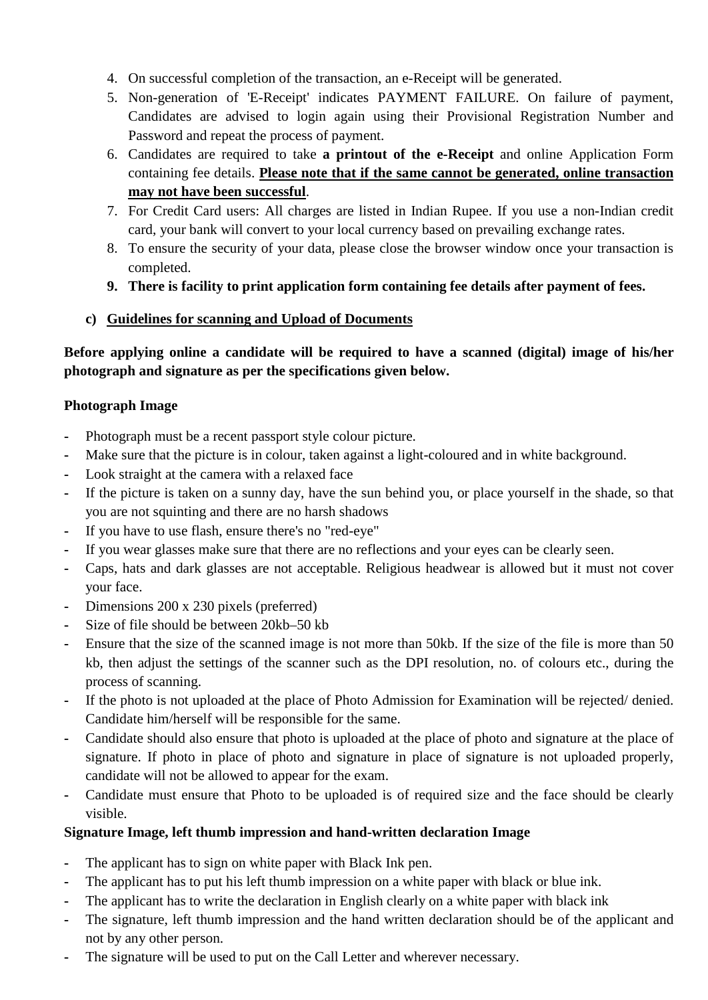- 4. On successful completion of the transaction, an e-Receipt will be generated.
- 5. Non-generation of 'E-Receipt' indicates PAYMENT FAILURE. On failure of payment, Candidates are advised to login again using their Provisional Registration Number and Password and repeat the process of payment.
- 6. Candidates are required to take **a printout of the e-Receipt** and online Application Form containing fee details. **Please note that if the same cannot be generated, online transaction may not have been successful**.
- 7. For Credit Card users: All charges are listed in Indian Rupee. If you use a non-Indian credit card, your bank will convert to your local currency based on prevailing exchange rates.
- 8. To ensure the security of your data, please close the browser window once your transaction is completed.
- **9. There is facility to print application form containing fee details after payment of fees.**
- **c) Guidelines for scanning and Upload of Documents**

**Before applying online a candidate will be required to have a scanned (digital) image of his/her photograph and signature as per the specifications given below.** 

# **Photograph Image**

- **-** Photograph must be a recent passport style colour picture.
- **-** Make sure that the picture is in colour, taken against a light-coloured and in white background.
- **-** Look straight at the camera with a relaxed face
- **-** If the picture is taken on a sunny day, have the sun behind you, or place yourself in the shade, so that you are not squinting and there are no harsh shadows
- **-** If you have to use flash, ensure there's no "red-eye"
- **-** If you wear glasses make sure that there are no reflections and your eyes can be clearly seen.
- **-** Caps, hats and dark glasses are not acceptable. Religious headwear is allowed but it must not cover your face.
- **-** Dimensions 200 x 230 pixels (preferred)
- **-** Size of file should be between 20kb–50 kb
- **-** Ensure that the size of the scanned image is not more than 50kb. If the size of the file is more than 50 kb, then adjust the settings of the scanner such as the DPI resolution, no. of colours etc., during the process of scanning.
- **-** If the photo is not uploaded at the place of Photo Admission for Examination will be rejected/ denied. Candidate him/herself will be responsible for the same.
- **-** Candidate should also ensure that photo is uploaded at the place of photo and signature at the place of signature. If photo in place of photo and signature in place of signature is not uploaded properly, candidate will not be allowed to appear for the exam.
- **-** Candidate must ensure that Photo to be uploaded is of required size and the face should be clearly visible.

# **Signature Image, left thumb impression and hand-written declaration Image**

- **-** The applicant has to sign on white paper with Black Ink pen.
- **-** The applicant has to put his left thumb impression on a white paper with black or blue ink.
- **-** The applicant has to write the declaration in English clearly on a white paper with black ink
- **-** The signature, left thumb impression and the hand written declaration should be of the applicant and not by any other person.
- The signature will be used to put on the Call Letter and wherever necessary.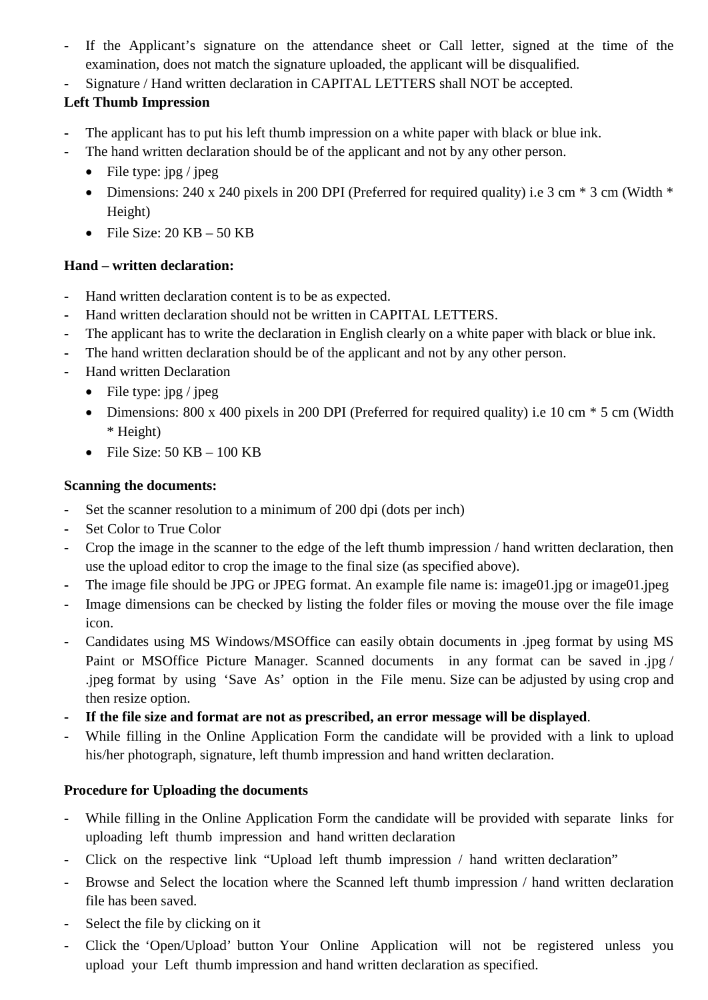- If the Applicant's signature on the attendance sheet or Call letter, signed at the time of the examination, does not match the signature uploaded, the applicant will be disqualified.
- **-** Signature / Hand written declaration in CAPITAL LETTERS shall NOT be accepted.

# **Left Thumb Impression**

- **-** The applicant has to put his left thumb impression on a white paper with black or blue ink.
- The hand written declaration should be of the applicant and not by any other person.
	- File type:  $\text{ipg} / \text{jpeg}$
	- Dimensions: 240 x 240 pixels in 200 DPI (Preferred for required quality) i.e 3 cm  $*$  3 cm (Width  $*$ Height)
	- File Size:  $20$  KB  $50$  KB

# **Hand – written declaration:**

- **-** Hand written declaration content is to be as expected.
- **-** Hand written declaration should not be written in CAPITAL LETTERS.
- **-** The applicant has to write the declaration in English clearly on a white paper with black or blue ink.
- **-** The hand written declaration should be of the applicant and not by any other person.
- **-** Hand written Declaration
	- File type:  $\text{ipg} / \text{ipeg}$
	- Dimensions: 800 x 400 pixels in 200 DPI (Preferred for required quality) i.e 10 cm  $*$  5 cm (Width \* Height)
	- File Size:  $50$  KB  $100$  KB

# **Scanning the documents:**

- **-** Set the scanner resolution to a minimum of 200 dpi (dots per inch)
- **-** Set Color to True Color
- **-** Crop the image in the scanner to the edge of the left thumb impression / hand written declaration, then use the upload editor to crop the image to the final size (as specified above).
- The image file should be JPG or JPEG format. An example file name is: image01.jpg or image01.jpeg
- **-** Image dimensions can be checked by listing the folder files or moving the mouse over the file image icon.
- **-** Candidates using MS Windows/MSOffice can easily obtain documents in .jpeg format by using MS Paint or MSOffice Picture Manager. Scanned documents in any format can be saved in .jpg / .jpeg format by using 'Save As' option in the File menu. Size can be adjusted by using crop and then resize option.
- **- If the file size and format are not as prescribed, an error message will be displayed**.
- **-** While filling in the Online Application Form the candidate will be provided with a link to upload his/her photograph, signature, left thumb impression and hand written declaration.

# **Procedure for Uploading the documents**

- **-** While filling in the Online Application Form the candidate will be provided with separate links for uploading left thumb impression and hand written declaration
- **-** Click on the respective link "Upload left thumb impression / hand written declaration"
- **-** Browse and Select the location where the Scanned left thumb impression / hand written declaration file has been saved.
- **-** Select the file by clicking on it
- **-** Click the 'Open/Upload' button Your Online Application will not be registered unless you upload your Left thumb impression and hand written declaration as specified.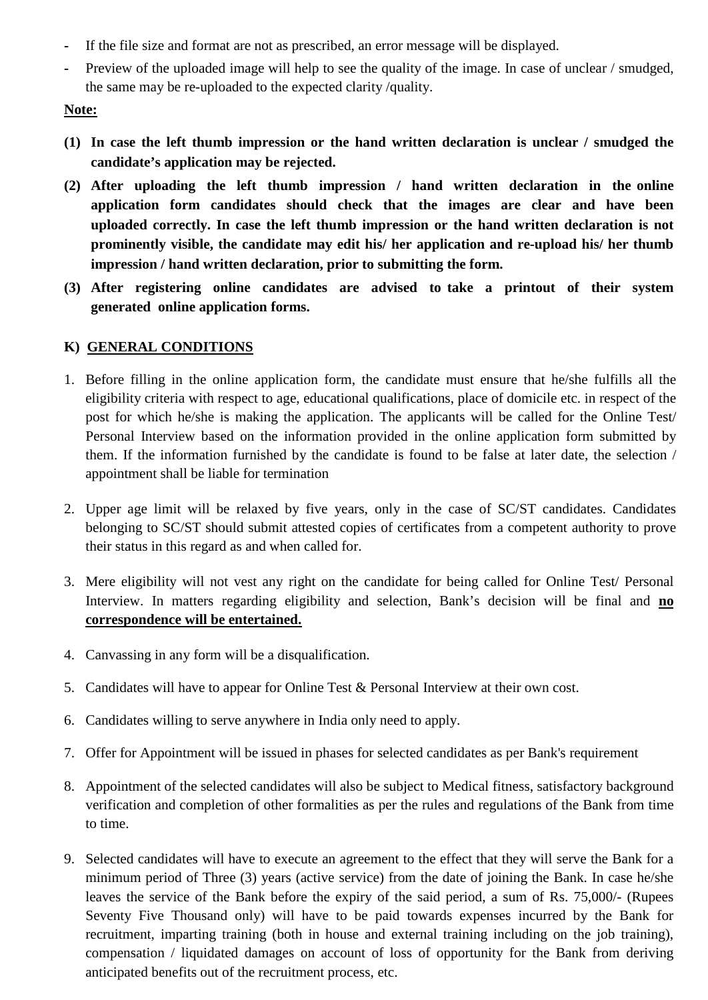- **-** If the file size and format are not as prescribed, an error message will be displayed.
- **-** Preview of the uploaded image will help to see the quality of the image. In case of unclear / smudged, the same may be re-uploaded to the expected clarity /quality.

# **Note:**

- **(1) In case the left thumb impression or the hand written declaration is unclear / smudged the candidate's application may be rejected.**
- **(2) After uploading the left thumb impression / hand written declaration in the online application form candidates should check that the images are clear and have been uploaded correctly. In case the left thumb impression or the hand written declaration is not prominently visible, the candidate may edit his/ her application and re-upload his/ her thumb impression / hand written declaration, prior to submitting the form.**
- **(3) After registering online candidates are advised to take a printout of their system generated online application forms.**

# **K) GENERAL CONDITIONS**

- 1. Before filling in the online application form, the candidate must ensure that he/she fulfills all the eligibility criteria with respect to age, educational qualifications, place of domicile etc. in respect of the post for which he/she is making the application. The applicants will be called for the Online Test/ Personal Interview based on the information provided in the online application form submitted by them. If the information furnished by the candidate is found to be false at later date, the selection / appointment shall be liable for termination
- 2. Upper age limit will be relaxed by five years, only in the case of SC/ST candidates. Candidates belonging to SC/ST should submit attested copies of certificates from a competent authority to prove their status in this regard as and when called for.
- 3. Mere eligibility will not vest any right on the candidate for being called for Online Test/ Personal Interview. In matters regarding eligibility and selection, Bank's decision will be final and **no correspondence will be entertained.**
- 4. Canvassing in any form will be a disqualification.
- 5. Candidates will have to appear for Online Test & Personal Interview at their own cost.
- 6. Candidates willing to serve anywhere in India only need to apply.
- 7. Offer for Appointment will be issued in phases for selected candidates as per Bank's requirement
- 8. Appointment of the selected candidates will also be subject to Medical fitness, satisfactory background verification and completion of other formalities as per the rules and regulations of the Bank from time to time.
- 9. Selected candidates will have to execute an agreement to the effect that they will serve the Bank for a minimum period of Three (3) years (active service) from the date of joining the Bank. In case he/she leaves the service of the Bank before the expiry of the said period, a sum of Rs. 75,000/- (Rupees Seventy Five Thousand only) will have to be paid towards expenses incurred by the Bank for recruitment, imparting training (both in house and external training including on the job training), compensation / liquidated damages on account of loss of opportunity for the Bank from deriving anticipated benefits out of the recruitment process, etc.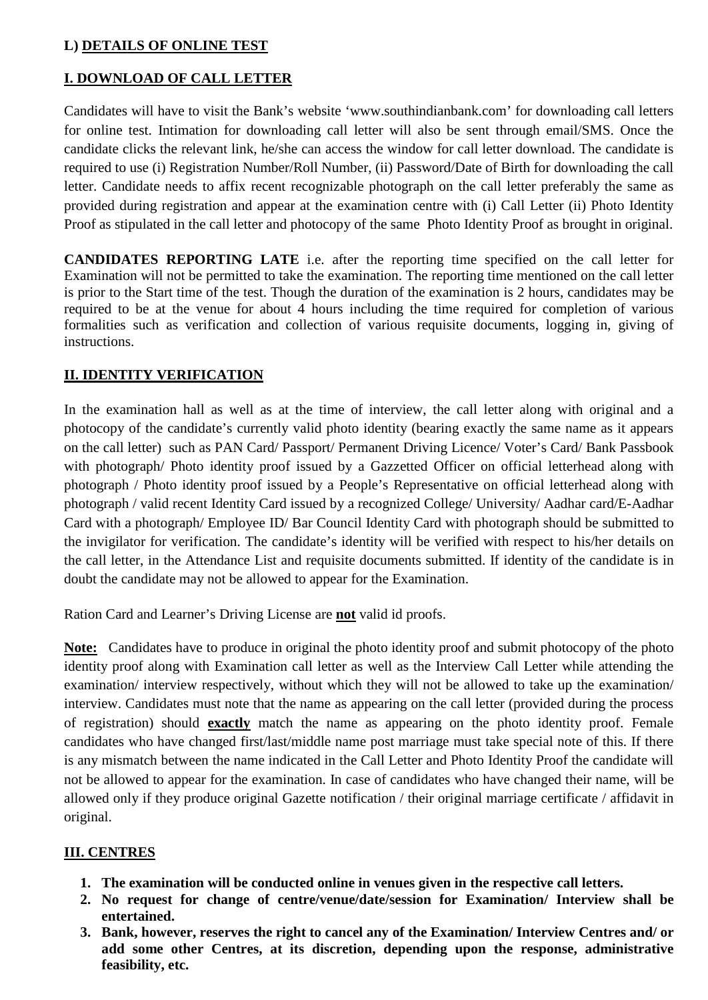# **L) DETAILS OF ONLINE TEST**

## **I. DOWNLOAD OF CALL LETTER**

Candidates will have to visit the Bank's website 'www.southindianbank.com' for downloading call letters for online test. Intimation for downloading call letter will also be sent through email/SMS. Once the candidate clicks the relevant link, he/she can access the window for call letter download. The candidate is required to use (i) Registration Number/Roll Number, (ii) Password/Date of Birth for downloading the call letter. Candidate needs to affix recent recognizable photograph on the call letter preferably the same as provided during registration and appear at the examination centre with (i) Call Letter (ii) Photo Identity Proof as stipulated in the call letter and photocopy of the same Photo Identity Proof as brought in original.

**CANDIDATES REPORTING LATE** i.e. after the reporting time specified on the call letter for Examination will not be permitted to take the examination. The reporting time mentioned on the call letter is prior to the Start time of the test. Though the duration of the examination is 2 hours, candidates may be required to be at the venue for about 4 hours including the time required for completion of various formalities such as verification and collection of various requisite documents, logging in, giving of instructions.

#### **II. IDENTITY VERIFICATION**

In the examination hall as well as at the time of interview, the call letter along with original and a photocopy of the candidate's currently valid photo identity (bearing exactly the same name as it appears on the call letter) such as PAN Card/ Passport/ Permanent Driving Licence/ Voter's Card/ Bank Passbook with photograph/ Photo identity proof issued by a Gazzetted Officer on official letterhead along with photograph / Photo identity proof issued by a People's Representative on official letterhead along with photograph / valid recent Identity Card issued by a recognized College/ University/ Aadhar card/E-Aadhar Card with a photograph/ Employee ID/ Bar Council Identity Card with photograph should be submitted to the invigilator for verification. The candidate's identity will be verified with respect to his/her details on the call letter, in the Attendance List and requisite documents submitted. If identity of the candidate is in doubt the candidate may not be allowed to appear for the Examination.

Ration Card and Learner's Driving License are **not** valid id proofs.

**Note:** Candidates have to produce in original the photo identity proof and submit photocopy of the photo identity proof along with Examination call letter as well as the Interview Call Letter while attending the examination/ interview respectively, without which they will not be allowed to take up the examination/ interview. Candidates must note that the name as appearing on the call letter (provided during the process of registration) should **exactly** match the name as appearing on the photo identity proof. Female candidates who have changed first/last/middle name post marriage must take special note of this. If there is any mismatch between the name indicated in the Call Letter and Photo Identity Proof the candidate will not be allowed to appear for the examination. In case of candidates who have changed their name, will be allowed only if they produce original Gazette notification / their original marriage certificate / affidavit in original.

#### **III. CENTRES**

- **1. The examination will be conducted online in venues given in the respective call letters.**
- **2. No request for change of centre/venue/date/session for Examination/ Interview shall be entertained.**
- **3. Bank, however, reserves the right to cancel any of the Examination/ Interview Centres and/ or add some other Centres, at its discretion, depending upon the response, administrative feasibility, etc.**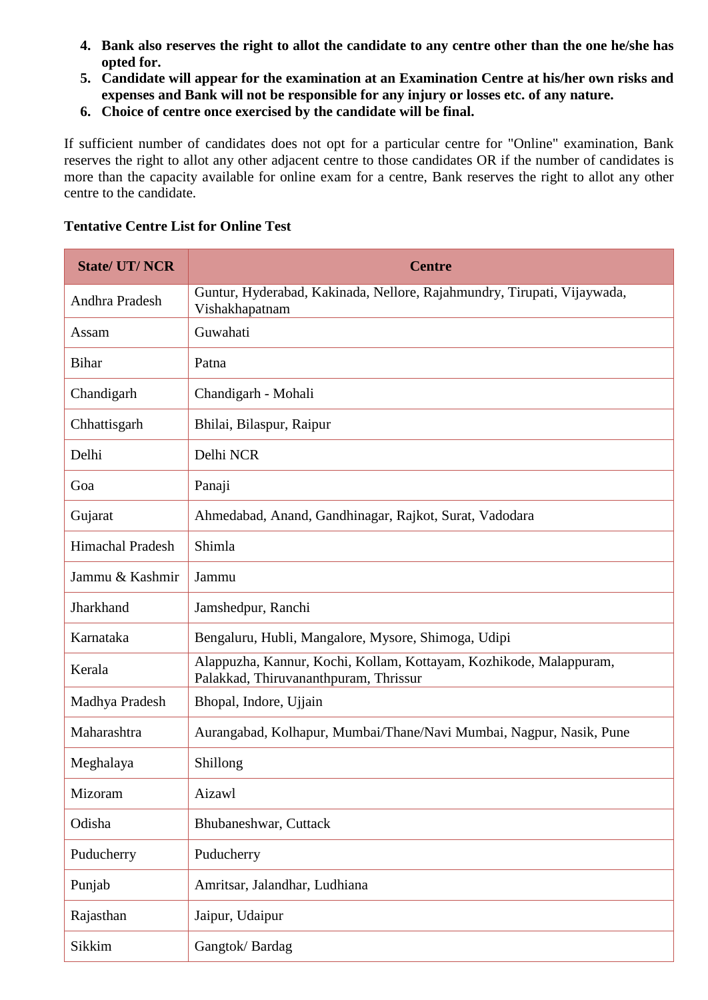- **4. Bank also reserves the right to allot the candidate to any centre other than the one he/she has opted for.**
- **5. Candidate will appear for the examination at an Examination Centre at his/her own risks and expenses and Bank will not be responsible for any injury or losses etc. of any nature.**
- **6. Choice of centre once exercised by the candidate will be final.**

If sufficient number of candidates does not opt for a particular centre for "Online" examination, Bank reserves the right to allot any other adjacent centre to those candidates OR if the number of candidates is more than the capacity available for online exam for a centre, Bank reserves the right to allot any other centre to the candidate.

| <b>State/ UT/ NCR</b>   | <b>Centre</b>                                                                                               |
|-------------------------|-------------------------------------------------------------------------------------------------------------|
| Andhra Pradesh          | Guntur, Hyderabad, Kakinada, Nellore, Rajahmundry, Tirupati, Vijaywada,<br>Vishakhapatnam                   |
| Assam                   | Guwahati                                                                                                    |
| <b>Bihar</b>            | Patna                                                                                                       |
| Chandigarh              | Chandigarh - Mohali                                                                                         |
| Chhattisgarh            | Bhilai, Bilaspur, Raipur                                                                                    |
| Delhi                   | Delhi NCR                                                                                                   |
| Goa                     | Panaji                                                                                                      |
| Gujarat                 | Ahmedabad, Anand, Gandhinagar, Rajkot, Surat, Vadodara                                                      |
| <b>Himachal Pradesh</b> | Shimla                                                                                                      |
| Jammu & Kashmir         | Jammu                                                                                                       |
| Jharkhand               | Jamshedpur, Ranchi                                                                                          |
| Karnataka               | Bengaluru, Hubli, Mangalore, Mysore, Shimoga, Udipi                                                         |
| Kerala                  | Alappuzha, Kannur, Kochi, Kollam, Kottayam, Kozhikode, Malappuram,<br>Palakkad, Thiruvananthpuram, Thrissur |
| Madhya Pradesh          | Bhopal, Indore, Ujjain                                                                                      |
| Maharashtra             | Aurangabad, Kolhapur, Mumbai/Thane/Navi Mumbai, Nagpur, Nasik, Pune                                         |
| Meghalaya               | Shillong                                                                                                    |
| Mizoram                 | Aizawl                                                                                                      |
| Odisha                  | Bhubaneshwar, Cuttack                                                                                       |
| Puducherry              | Puducherry                                                                                                  |
| Punjab                  | Amritsar, Jalandhar, Ludhiana                                                                               |
| Rajasthan               | Jaipur, Udaipur                                                                                             |
| Sikkim                  | Gangtok/Bardag                                                                                              |

#### **Tentative Centre List for Online Test**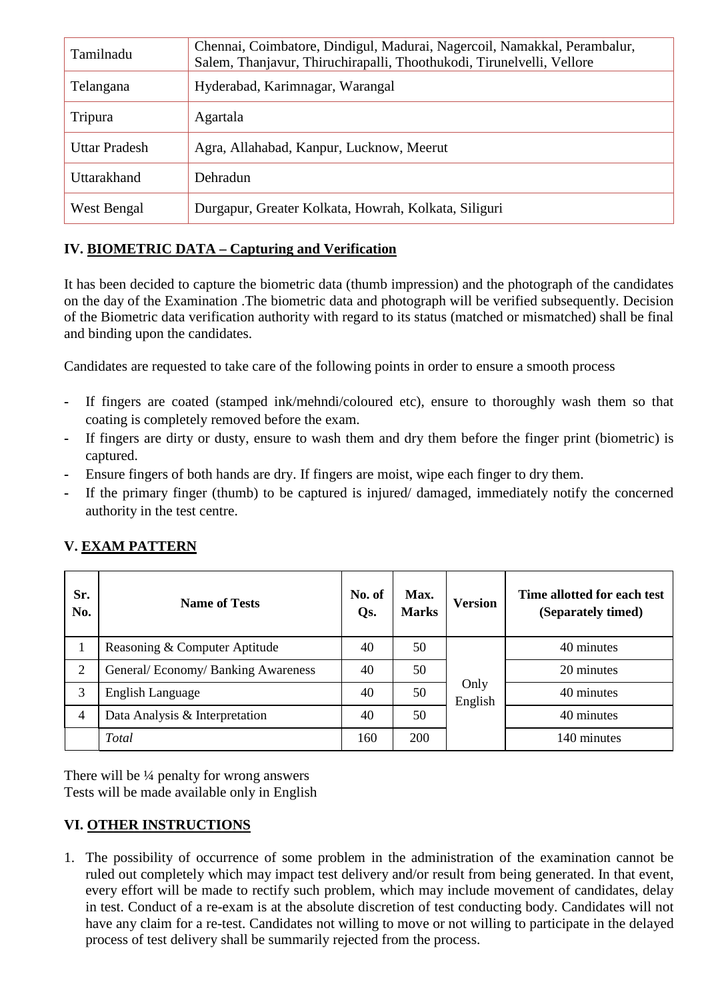| Tamilnadu            | Chennai, Coimbatore, Dindigul, Madurai, Nagercoil, Namakkal, Perambalur,<br>Salem, Thanjavur, Thiruchirapalli, Thoothukodi, Tirunelvelli, Vellore |  |
|----------------------|---------------------------------------------------------------------------------------------------------------------------------------------------|--|
| Telangana            | Hyderabad, Karimnagar, Warangal                                                                                                                   |  |
| Tripura              | Agartala                                                                                                                                          |  |
| <b>Uttar Pradesh</b> | Agra, Allahabad, Kanpur, Lucknow, Meerut                                                                                                          |  |
| Uttarakhand          | Dehradun                                                                                                                                          |  |
| West Bengal          | Durgapur, Greater Kolkata, Howrah, Kolkata, Siliguri                                                                                              |  |

# **IV. BIOMETRIC DATA – Capturing and Verification**

It has been decided to capture the biometric data (thumb impression) and the photograph of the candidates on the day of the Examination .The biometric data and photograph will be verified subsequently. Decision of the Biometric data verification authority with regard to its status (matched or mismatched) shall be final and binding upon the candidates.

Candidates are requested to take care of the following points in order to ensure a smooth process

- **-** If fingers are coated (stamped ink/mehndi/coloured etc), ensure to thoroughly wash them so that coating is completely removed before the exam.
- **-** If fingers are dirty or dusty, ensure to wash them and dry them before the finger print (biometric) is captured.
- **-** Ensure fingers of both hands are dry. If fingers are moist, wipe each finger to dry them.
- **-** If the primary finger (thumb) to be captured is injured/ damaged, immediately notify the concerned authority in the test centre.

| Sr.<br>No. | <b>Name of Tests</b>              | No. of<br>Qs. | Max.<br><b>Marks</b> | <b>Version</b>  | Time allotted for each test<br>(Separately timed) |
|------------|-----------------------------------|---------------|----------------------|-----------------|---------------------------------------------------|
|            | Reasoning & Computer Aptitude     | 40            | 50                   |                 | 40 minutes                                        |
| 2          | General/Economy/Banking Awareness | 40            | 50                   |                 | 20 minutes                                        |
| 3          | English Language                  | 40            | 50                   | Only<br>English | 40 minutes                                        |
| 4          | Data Analysis & Interpretation    | 40            | 50                   |                 | 40 minutes                                        |
|            | Total                             | 160           | <b>200</b>           |                 | 140 minutes                                       |

# **V. EXAM PATTERN**

There will be ¼ penalty for wrong answers Tests will be made available only in English

# **VI. OTHER INSTRUCTIONS**

1. The possibility of occurrence of some problem in the administration of the examination cannot be ruled out completely which may impact test delivery and/or result from being generated. In that event, every effort will be made to rectify such problem, which may include movement of candidates, delay in test. Conduct of a re-exam is at the absolute discretion of test conducting body. Candidates will not have any claim for a re-test. Candidates not willing to move or not willing to participate in the delayed process of test delivery shall be summarily rejected from the process.